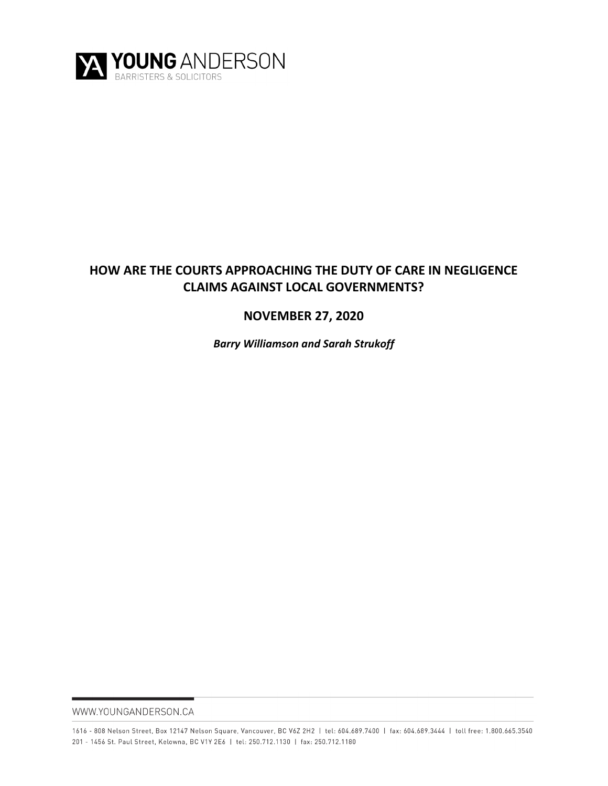

# **HOW ARE THE COURTS APPROACHING THE DUTY OF CARE IN NEGLIGENCE CLAIMS AGAINST LOCAL GOVERNMENTS?**

# **NOVEMBER 27, 2020**

*Barry Williamson and Sarah Strukoff*

WWW.YOUNGANDERSON.CA

1616 - 808 Nelson Street, Box 12147 Nelson Square, Vancouver, BC V6Z 2H2 | tel: 604.689.7400 | fax: 604.689.3444 | toll free: 1.800.665.3540 201 - 1456 St. Paul Street, Kelowna, BC V1Y 2E6 | tel: 250.712.1130 | fax: 250.712.1180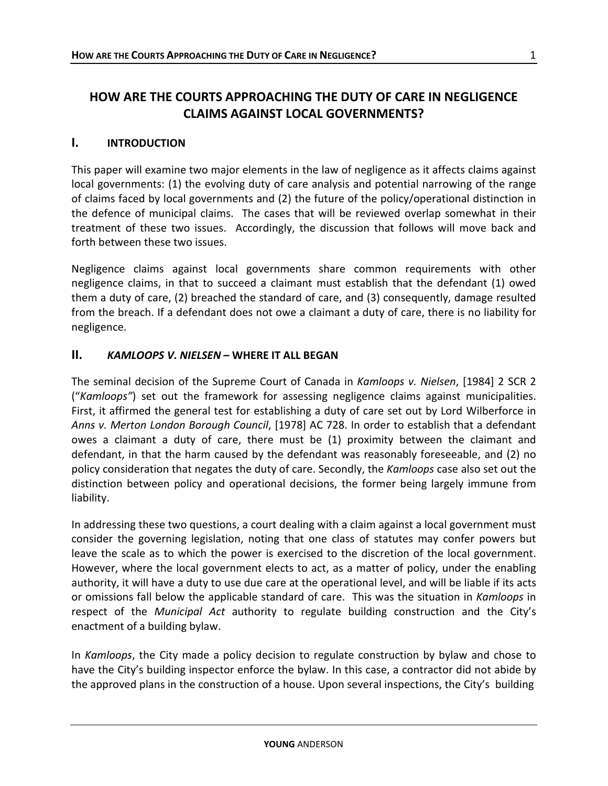# **HOW ARE THE COURTS APPROACHING THE DUTY OF CARE IN NEGLIGENCE CLAIMS AGAINST LOCAL GOVERNMENTS?**

#### **I. INTRODUCTION**

This paper will examine two major elements in the law of negligence as it affects claims against local governments: (1) the evolving duty of care analysis and potential narrowing of the range of claims faced by local governments and (2) the future of the policy/operational distinction in the defence of municipal claims. The cases that will be reviewed overlap somewhat in their treatment of these two issues. Accordingly, the discussion that follows will move back and forth between these two issues.

Negligence claims against local governments share common requirements with other negligence claims, in that to succeed a claimant must establish that the defendant (1) owed them a duty of care, (2) breached the standard of care, and (3) consequently, damage resulted from the breach. If a defendant does not owe a claimant a duty of care, there is no liability for negligence.

#### **II.** *KAMLOOPS V. NIELSEN* **– WHERE IT ALL BEGAN**

The seminal decision of the Supreme Court of Canada in *Kamloops v. Nielsen*, [1984] 2 SCR 2 ("*Kamloops"*) set out the framework for assessing negligence claims against municipalities. First, it affirmed the general test for establishing a duty of care set out by Lord Wilberforce in *Anns v. Merton London Borough Council*, [1978] AC 728. In order to establish that a defendant owes a claimant a duty of care, there must be (1) proximity between the claimant and defendant, in that the harm caused by the defendant was reasonably foreseeable, and (2) no policy consideration that negates the duty of care. Secondly, the *Kamloops* case also set out the distinction between policy and operational decisions, the former being largely immune from liability.

In addressing these two questions, a court dealing with a claim against a local government must consider the governing legislation, noting that one class of statutes may confer powers but leave the scale as to which the power is exercised to the discretion of the local government. However, where the local government elects to act, as a matter of policy, under the enabling authority, it will have a duty to use due care at the operational level, and will be liable if its acts or omissions fall below the applicable standard of care. This was the situation in *Kamloops* in respect of the *Municipal Act* authority to regulate building construction and the City's enactment of a building bylaw.

In *Kamloops*, the City made a policy decision to regulate construction by bylaw and chose to have the City's building inspector enforce the bylaw. In this case, a contractor did not abide by the approved plans in the construction of a house. Upon several inspections, the City's building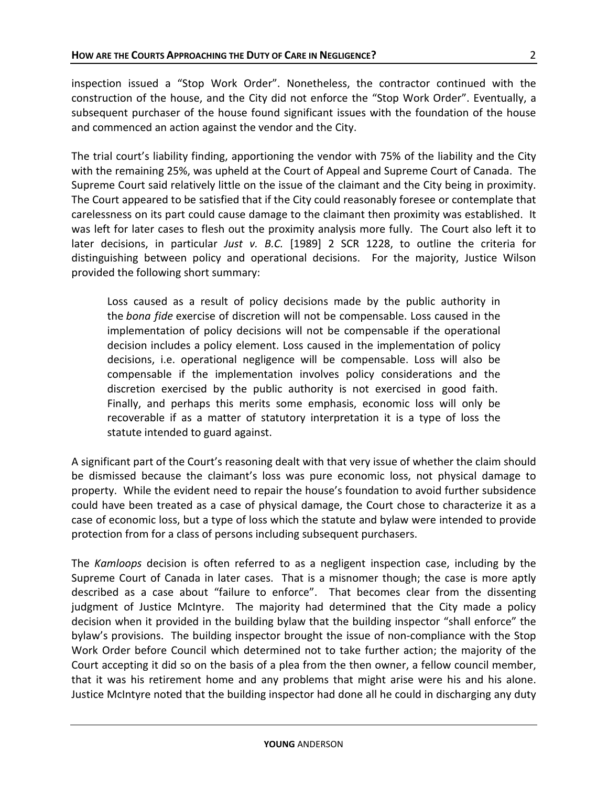inspection issued a "Stop Work Order". Nonetheless, the contractor continued with the construction of the house, and the City did not enforce the "Stop Work Order". Eventually, a subsequent purchaser of the house found significant issues with the foundation of the house and commenced an action against the vendor and the City.

The trial court's liability finding, apportioning the vendor with 75% of the liability and the City with the remaining 25%, was upheld at the Court of Appeal and Supreme Court of Canada. The Supreme Court said relatively little on the issue of the claimant and the City being in proximity. The Court appeared to be satisfied that if the City could reasonably foresee or contemplate that carelessness on its part could cause damage to the claimant then proximity was established. It was left for later cases to flesh out the proximity analysis more fully. The Court also left it to later decisions, in particular *Just v. B.C.* [1989] 2 SCR 1228, to outline the criteria for distinguishing between policy and operational decisions. For the majority, Justice Wilson provided the following short summary:

Loss caused as a result of policy decisions made by the public authority in the *bona fide* exercise of discretion will not be compensable. Loss caused in the implementation of policy decisions will not be compensable if the operational decision includes a policy element. Loss caused in the implementation of policy decisions, i.e. operational negligence will be compensable. Loss will also be compensable if the implementation involves policy considerations and the discretion exercised by the public authority is not exercised in good faith. Finally, and perhaps this merits some emphasis, economic loss will only be recoverable if as a matter of statutory interpretation it is a type of loss the statute intended to guard against.

A significant part of the Court's reasoning dealt with that very issue of whether the claim should be dismissed because the claimant's loss was pure economic loss, not physical damage to property. While the evident need to repair the house's foundation to avoid further subsidence could have been treated as a case of physical damage, the Court chose to characterize it as a case of economic loss, but a type of loss which the statute and bylaw were intended to provide protection from for a class of persons including subsequent purchasers.

The *Kamloops* decision is often referred to as a negligent inspection case, including by the Supreme Court of Canada in later cases. That is a misnomer though; the case is more aptly described as a case about "failure to enforce". That becomes clear from the dissenting judgment of Justice McIntyre. The majority had determined that the City made a policy decision when it provided in the building bylaw that the building inspector "shall enforce" the bylaw's provisions. The building inspector brought the issue of non-compliance with the Stop Work Order before Council which determined not to take further action; the majority of the Court accepting it did so on the basis of a plea from the then owner, a fellow council member, that it was his retirement home and any problems that might arise were his and his alone. Justice McIntyre noted that the building inspector had done all he could in discharging any duty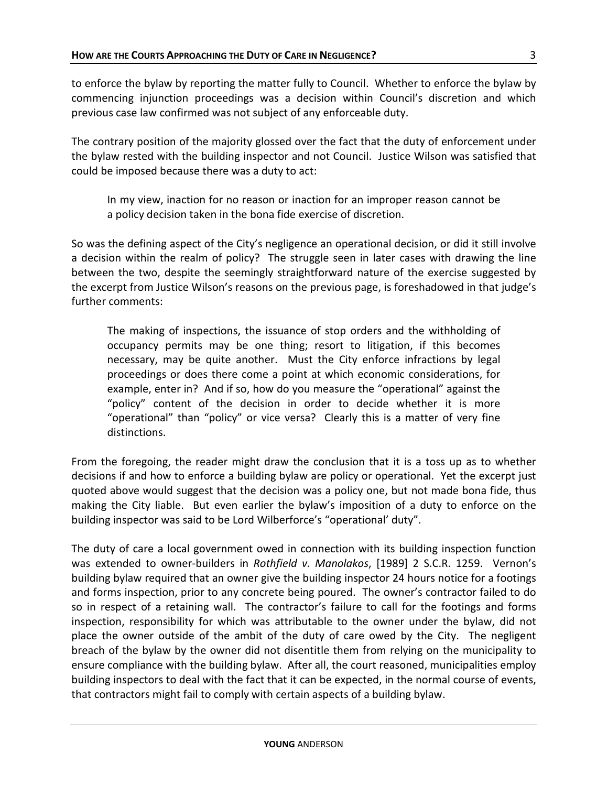to enforce the bylaw by reporting the matter fully to Council. Whether to enforce the bylaw by commencing injunction proceedings was a decision within Council's discretion and which previous case law confirmed was not subject of any enforceable duty.

The contrary position of the majority glossed over the fact that the duty of enforcement under the bylaw rested with the building inspector and not Council. Justice Wilson was satisfied that could be imposed because there was a duty to act:

In my view, inaction for no reason or inaction for an improper reason cannot be a policy decision taken in the bona fide exercise of discretion.

So was the defining aspect of the City's negligence an operational decision, or did it still involve a decision within the realm of policy? The struggle seen in later cases with drawing the line between the two, despite the seemingly straightforward nature of the exercise suggested by the excerpt from Justice Wilson's reasons on the previous page, is foreshadowed in that judge's further comments:

The making of inspections, the issuance of stop orders and the withholding of occupancy permits may be one thing; resort to litigation, if this becomes necessary, may be quite another. Must the City enforce infractions by legal proceedings or does there come a point at which economic considerations, for example, enter in? And if so, how do you measure the "operational" against the "policy" content of the decision in order to decide whether it is more "operational" than "policy" or vice versa? Clearly this is a matter of very fine distinctions.

From the foregoing, the reader might draw the conclusion that it is a toss up as to whether decisions if and how to enforce a building bylaw are policy or operational. Yet the excerpt just quoted above would suggest that the decision was a policy one, but not made bona fide, thus making the City liable. But even earlier the bylaw's imposition of a duty to enforce on the building inspector was said to be Lord Wilberforce's "operational' duty".

The duty of care a local government owed in connection with its building inspection function was extended to owner-builders in *Rothfield v. Manolakos*, [1989] 2 S.C.R. 1259. Vernon's building bylaw required that an owner give the building inspector 24 hours notice for a footings and forms inspection, prior to any concrete being poured. The owner's contractor failed to do so in respect of a retaining wall. The contractor's failure to call for the footings and forms inspection, responsibility for which was attributable to the owner under the bylaw, did not place the owner outside of the ambit of the duty of care owed by the City. The negligent breach of the bylaw by the owner did not disentitle them from relying on the municipality to ensure compliance with the building bylaw. After all, the court reasoned, municipalities employ building inspectors to deal with the fact that it can be expected, in the normal course of events, that contractors might fail to comply with certain aspects of a building bylaw.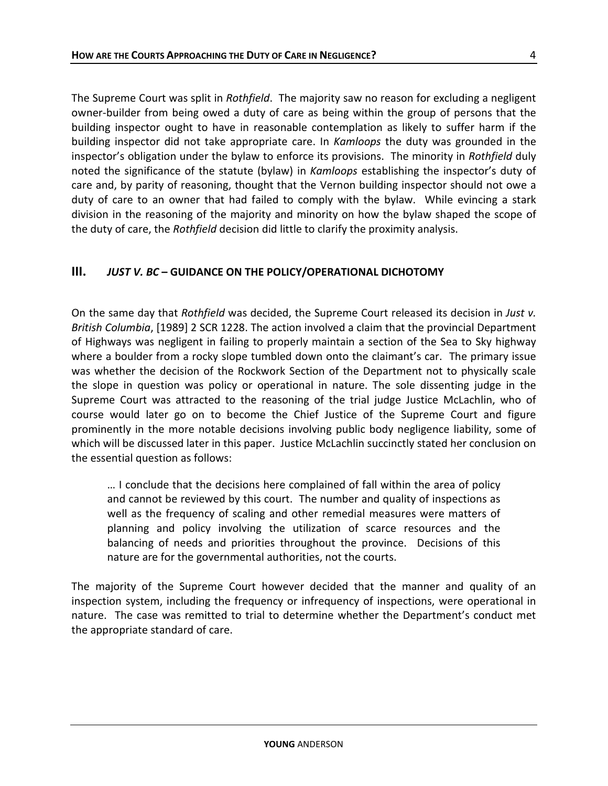The Supreme Court was split in *Rothfield*. The majority saw no reason for excluding a negligent owner-builder from being owed a duty of care as being within the group of persons that the building inspector ought to have in reasonable contemplation as likely to suffer harm if the building inspector did not take appropriate care. In *Kamloops* the duty was grounded in the inspector's obligation under the bylaw to enforce its provisions. The minority in *Rothfield* duly noted the significance of the statute (bylaw) in *Kamloops* establishing the inspector's duty of care and, by parity of reasoning, thought that the Vernon building inspector should not owe a duty of care to an owner that had failed to comply with the bylaw. While evincing a stark division in the reasoning of the majority and minority on how the bylaw shaped the scope of the duty of care, the *Rothfield* decision did little to clarify the proximity analysis.

#### **III.** *JUST V. BC* **– GUIDANCE ON THE POLICY/OPERATIONAL DICHOTOMY**

On the same day that *Rothfield* was decided, the Supreme Court released its decision in *Just v. British Columbia*, [1989] 2 SCR 1228. The action involved a claim that the provincial Department of Highways was negligent in failing to properly maintain a section of the Sea to Sky highway where a boulder from a rocky slope tumbled down onto the claimant's car. The primary issue was whether the decision of the Rockwork Section of the Department not to physically scale the slope in question was policy or operational in nature. The sole dissenting judge in the Supreme Court was attracted to the reasoning of the trial judge Justice McLachlin, who of course would later go on to become the Chief Justice of the Supreme Court and figure prominently in the more notable decisions involving public body negligence liability, some of which will be discussed later in this paper. Justice McLachlin succinctly stated her conclusion on the essential question as follows:

… I conclude that the decisions here complained of fall within the area of policy and cannot be reviewed by this court. The number and quality of inspections as well as the frequency of scaling and other remedial measures were matters of planning and policy involving the utilization of scarce resources and the balancing of needs and priorities throughout the province. Decisions of this nature are for the governmental authorities, not the courts.

The majority of the Supreme Court however decided that the manner and quality of an inspection system, including the frequency or infrequency of inspections, were operational in nature. The case was remitted to trial to determine whether the Department's conduct met the appropriate standard of care.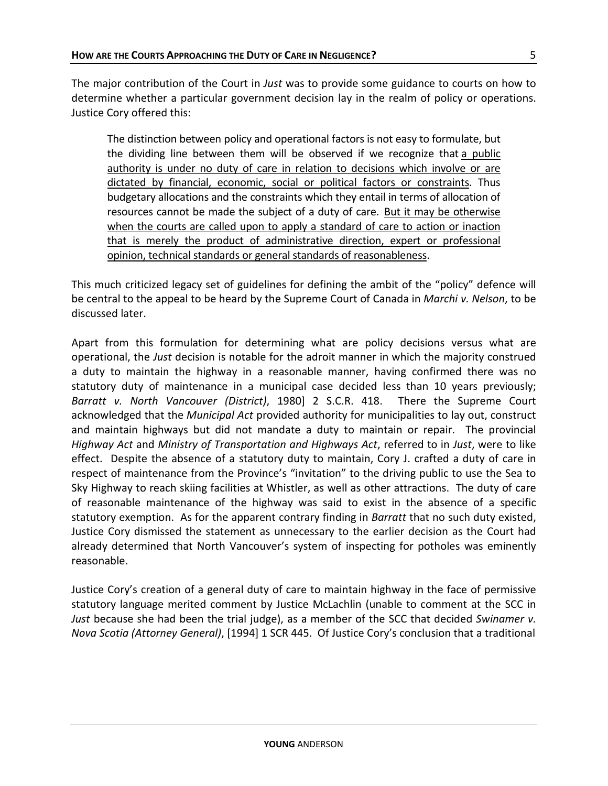The major contribution of the Court in *Just* was to provide some guidance to courts on how to determine whether a particular government decision lay in the realm of policy or operations. Justice Cory offered this:

The distinction between policy and operational factors is not easy to formulate, but the dividing line between them will be observed if we recognize that a public authority is under no duty of care in relation to decisions which involve or are dictated by financial, economic, social or political factors or constraints. Thus budgetary allocations and the constraints which they entail in terms of allocation of resources cannot be made the subject of a duty of care. But it may be otherwise when the courts are called upon to apply a standard of care to action or inaction that is merely the product of administrative direction, expert or professional opinion, technical standards or general standards of reasonableness.

This much criticized legacy set of guidelines for defining the ambit of the "policy" defence will be central to the appeal to be heard by the Supreme Court of Canada in *Marchi v. Nelson*, to be discussed later.

Apart from this formulation for determining what are policy decisions versus what are operational, the *Just* decision is notable for the adroit manner in which the majority construed a duty to maintain the highway in a reasonable manner, having confirmed there was no statutory duty of maintenance in a municipal case decided less than 10 years previously; *Barratt v. North Vancouver (District)*, 1980] 2 S.C.R. 418. There the Supreme Court acknowledged that the *Municipal Act* provided authority for municipalities to lay out, construct and maintain highways but did not mandate a duty to maintain or repair. The provincial *Highway Act* and *Ministry of Transportation and Highways Act*, referred to in *Just*, were to like effect. Despite the absence of a statutory duty to maintain, Cory J. crafted a duty of care in respect of maintenance from the Province's "invitation" to the driving public to use the Sea to Sky Highway to reach skiing facilities at Whistler, as well as other attractions. The duty of care of reasonable maintenance of the highway was said to exist in the absence of a specific statutory exemption. As for the apparent contrary finding in *Barratt* that no such duty existed, Justice Cory dismissed the statement as unnecessary to the earlier decision as the Court had already determined that North Vancouver's system of inspecting for potholes was eminently reasonable.

Justice Cory's creation of a general duty of care to maintain highway in the face of permissive statutory language merited comment by Justice McLachlin (unable to comment at the SCC in *Just* because she had been the trial judge), as a member of the SCC that decided *Swinamer v. Nova Scotia (Attorney General)*, [1994] 1 SCR 445. Of Justice Cory's conclusion that a traditional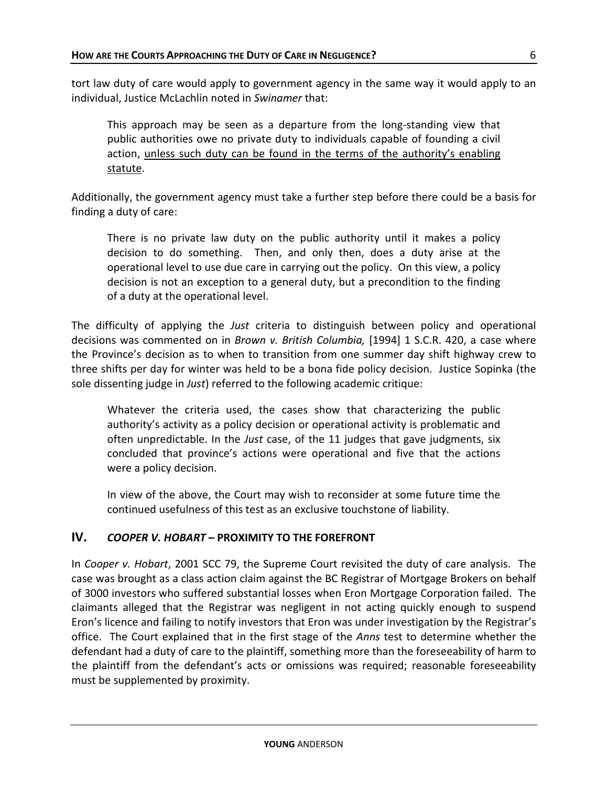tort law duty of care would apply to government agency in the same way it would apply to an individual, Justice McLachlin noted in *Swinamer* that:

This approach may be seen as a departure from the long-standing view that public authorities owe no private duty to individuals capable of founding a civil action, unless such duty can be found in the terms of the authority's enabling statute.

Additionally, the government agency must take a further step before there could be a basis for finding a duty of care:

There is no private law duty on the public authority until it makes a policy decision to do something. Then, and only then, does a duty arise at the operational level to use due care in carrying out the policy. On this view, a policy decision is not an exception to a general duty, but a precondition to the finding of a duty at the operational level.

The difficulty of applying the *Just* criteria to distinguish between policy and operational decisions was commented on in *Brown v. British Columbia,* [1994] 1 S.C.R. 420, a case where the Province's decision as to when to transition from one summer day shift highway crew to three shifts per day for winter was held to be a bona fide policy decision. Justice Sopinka (the sole dissenting judge in *Just*) referred to the following academic critique:

Whatever the criteria used, the cases show that characterizing the public authority's activity as a policy decision or operational activity is problematic and often unpredictable. In the *Just* case, of the 11 judges that gave judgments, six concluded that province's actions were operational and five that the actions were a policy decision.

In view of the above, the Court may wish to reconsider at some future time the continued usefulness of this test as an exclusive touchstone of liability.

## **IV.** *COOPER V. HOBART* **– PROXIMITY TO THE FOREFRONT**

In *Cooper v. Hobart*, 2001 SCC 79, the Supreme Court revisited the duty of care analysis. The case was brought as a class action claim against the BC Registrar of Mortgage Brokers on behalf of 3000 investors who suffered substantial losses when Eron Mortgage Corporation failed. The claimants alleged that the Registrar was negligent in not acting quickly enough to suspend Eron's licence and failing to notify investors that Eron was under investigation by the Registrar's office. The Court explained that in the first stage of the *Anns* test to determine whether the defendant had a duty of care to the plaintiff, something more than the foreseeability of harm to the plaintiff from the defendant's acts or omissions was required; reasonable foreseeability must be supplemented by proximity.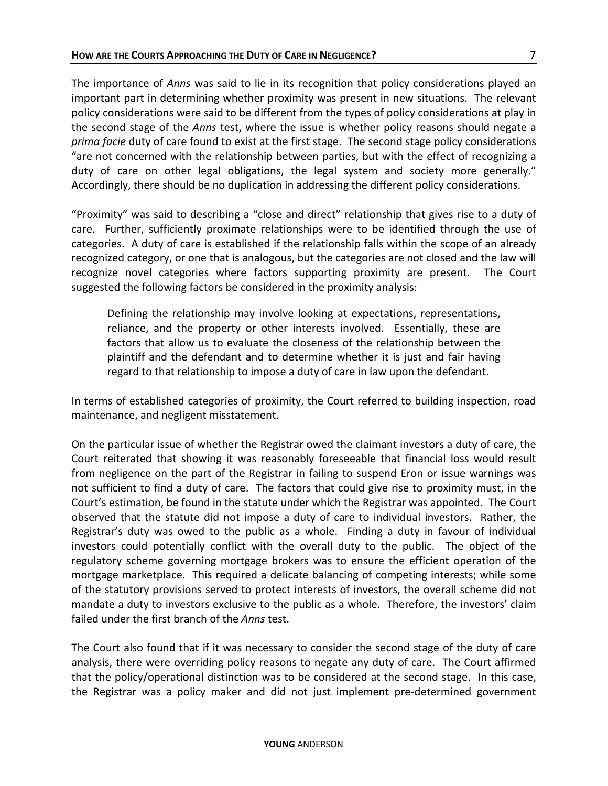The importance of *Anns* was said to lie in its recognition that policy considerations played an important part in determining whether proximity was present in new situations. The relevant policy considerations were said to be different from the types of policy considerations at play in the second stage of the *Anns* test, where the issue is whether policy reasons should negate a *prima facie* duty of care found to exist at the first stage. The second stage policy considerations "are not concerned with the relationship between parties, but with the effect of recognizing a duty of care on other legal obligations, the legal system and society more generally." Accordingly, there should be no duplication in addressing the different policy considerations.

"Proximity" was said to describing a "close and direct" relationship that gives rise to a duty of care. Further, sufficiently proximate relationships were to be identified through the use of categories. A duty of care is established if the relationship falls within the scope of an already recognized category, or one that is analogous, but the categories are not closed and the law will recognize novel categories where factors supporting proximity are present. The Court suggested the following factors be considered in the proximity analysis:

Defining the relationship may involve looking at expectations, representations, reliance, and the property or other interests involved. Essentially, these are factors that allow us to evaluate the closeness of the relationship between the plaintiff and the defendant and to determine whether it is just and fair having regard to that relationship to impose a duty of care in law upon the defendant.

In terms of established categories of proximity, the Court referred to building inspection, road maintenance, and negligent misstatement.

On the particular issue of whether the Registrar owed the claimant investors a duty of care, the Court reiterated that showing it was reasonably foreseeable that financial loss would result from negligence on the part of the Registrar in failing to suspend Eron or issue warnings was not sufficient to find a duty of care. The factors that could give rise to proximity must, in the Court's estimation, be found in the statute under which the Registrar was appointed. The Court observed that the statute did not impose a duty of care to individual investors. Rather, the Registrar's duty was owed to the public as a whole. Finding a duty in favour of individual investors could potentially conflict with the overall duty to the public. The object of the regulatory scheme governing mortgage brokers was to ensure the efficient operation of the mortgage marketplace. This required a delicate balancing of competing interests; while some of the statutory provisions served to protect interests of investors, the overall scheme did not mandate a duty to investors exclusive to the public as a whole. Therefore, the investors' claim failed under the first branch of the *Anns* test.

The Court also found that if it was necessary to consider the second stage of the duty of care analysis, there were overriding policy reasons to negate any duty of care. The Court affirmed that the policy/operational distinction was to be considered at the second stage. In this case, the Registrar was a policy maker and did not just implement pre-determined government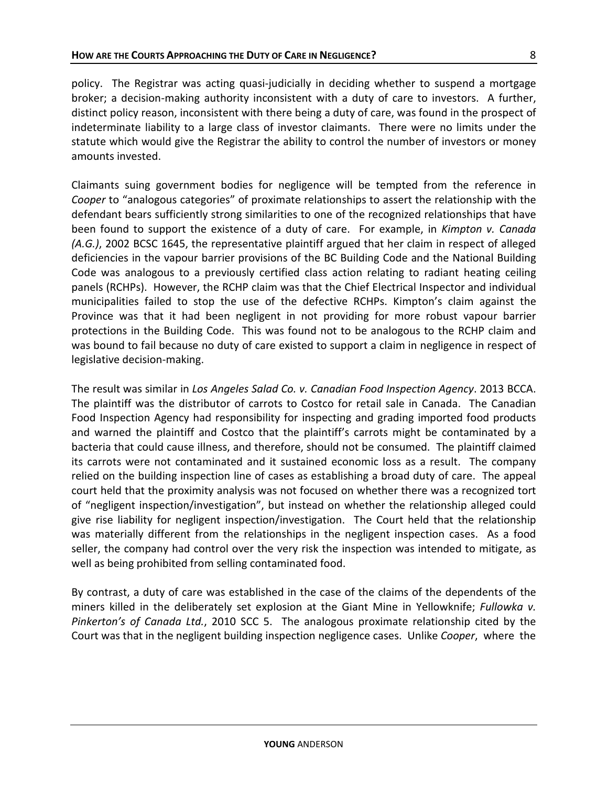policy. The Registrar was acting quasi-judicially in deciding whether to suspend a mortgage broker; a decision-making authority inconsistent with a duty of care to investors. A further, distinct policy reason, inconsistent with there being a duty of care, was found in the prospect of indeterminate liability to a large class of investor claimants. There were no limits under the statute which would give the Registrar the ability to control the number of investors or money amounts invested.

Claimants suing government bodies for negligence will be tempted from the reference in *Cooper* to "analogous categories" of proximate relationships to assert the relationship with the defendant bears sufficiently strong similarities to one of the recognized relationships that have been found to support the existence of a duty of care. For example, in *Kimpton v. Canada (A.G.)*, 2002 BCSC 1645, the representative plaintiff argued that her claim in respect of alleged deficiencies in the vapour barrier provisions of the BC Building Code and the National Building Code was analogous to a previously certified class action relating to radiant heating ceiling panels (RCHPs). However, the RCHP claim was that the Chief Electrical Inspector and individual municipalities failed to stop the use of the defective RCHPs. Kimpton's claim against the Province was that it had been negligent in not providing for more robust vapour barrier protections in the Building Code. This was found not to be analogous to the RCHP claim and was bound to fail because no duty of care existed to support a claim in negligence in respect of legislative decision-making.

The result was similar in *Los Angeles Salad Co. v. Canadian Food Inspection Agency*. 2013 BCCA. The plaintiff was the distributor of carrots to Costco for retail sale in Canada. The Canadian Food Inspection Agency had responsibility for inspecting and grading imported food products and warned the plaintiff and Costco that the plaintiff's carrots might be contaminated by a bacteria that could cause illness, and therefore, should not be consumed. The plaintiff claimed its carrots were not contaminated and it sustained economic loss as a result. The company relied on the building inspection line of cases as establishing a broad duty of care. The appeal court held that the proximity analysis was not focused on whether there was a recognized tort of "negligent inspection/investigation", but instead on whether the relationship alleged could give rise liability for negligent inspection/investigation. The Court held that the relationship was materially different from the relationships in the negligent inspection cases. As a food seller, the company had control over the very risk the inspection was intended to mitigate, as well as being prohibited from selling contaminated food.

By contrast, a duty of care was established in the case of the claims of the dependents of the miners killed in the deliberately set explosion at the Giant Mine in Yellowknife; *Fullowka v. Pinkerton's of Canada Ltd.*, 2010 SCC 5. The analogous proximate relationship cited by the Court was that in the negligent building inspection negligence cases. Unlike *Cooper*, where the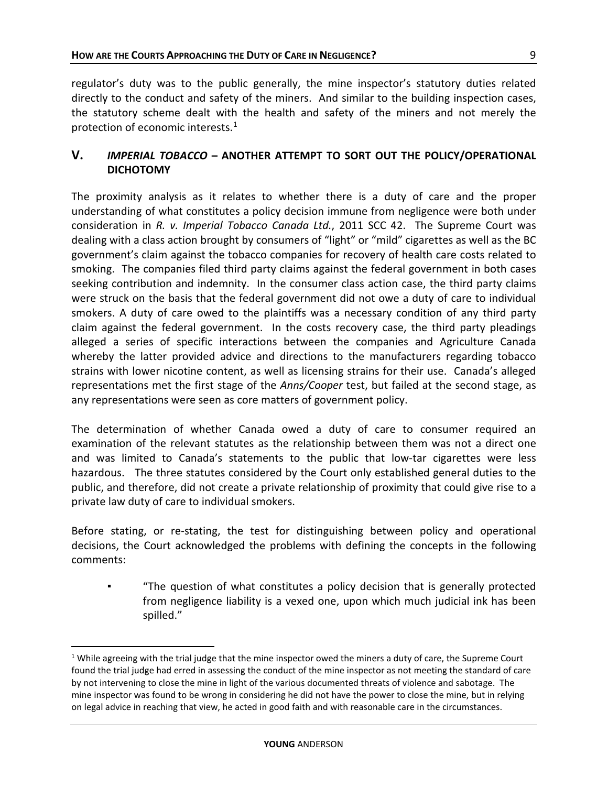9

regulator's duty was to the public generally, the mine inspector's statutory duties related directly to the conduct and safety of the miners. And similar to the building inspection cases, the statutory scheme dealt with the health and safety of the miners and not merely the protection of economic interests.<sup>[1](#page-9-0)</sup>

## **V.** *IMPERIAL TOBACCO* **– ANOTHER ATTEMPT TO SORT OUT THE POLICY/OPERATIONAL DICHOTOMY**

The proximity analysis as it relates to whether there is a duty of care and the proper understanding of what constitutes a policy decision immune from negligence were both under consideration in *R. v. Imperial Tobacco Canada Ltd.*, 2011 SCC 42. The Supreme Court was dealing with a class action brought by consumers of "light" or "mild" cigarettes as well as the BC government's claim against the tobacco companies for recovery of health care costs related to smoking. The companies filed third party claims against the federal government in both cases seeking contribution and indemnity. In the consumer class action case, the third party claims were struck on the basis that the federal government did not owe a duty of care to individual smokers. A duty of care owed to the plaintiffs was a necessary condition of any third party claim against the federal government. In the costs recovery case, the third party pleadings alleged a series of specific interactions between the companies and Agriculture Canada whereby the latter provided advice and directions to the manufacturers regarding tobacco strains with lower nicotine content, as well as licensing strains for their use. Canada's alleged representations met the first stage of the *Anns/Cooper* test, but failed at the second stage, as any representations were seen as core matters of government policy.

The determination of whether Canada owed a duty of care to consumer required an examination of the relevant statutes as the relationship between them was not a direct one and was limited to Canada's statements to the public that low-tar cigarettes were less hazardous. The three statutes considered by the Court only established general duties to the public, and therefore, did not create a private relationship of proximity that could give rise to a private law duty of care to individual smokers.

Before stating, or re-stating, the test for distinguishing between policy and operational decisions, the Court acknowledged the problems with defining the concepts in the following comments:

"The question of what constitutes a policy decision that is generally protected from negligence liability is a vexed one, upon which much judicial ink has been spilled."

<span id="page-9-0"></span><sup>&</sup>lt;sup>1</sup> While agreeing with the trial judge that the mine inspector owed the miners a duty of care, the Supreme Court found the trial judge had erred in assessing the conduct of the mine inspector as not meeting the standard of care by not intervening to close the mine in light of the various documented threats of violence and sabotage. The mine inspector was found to be wrong in considering he did not have the power to close the mine, but in relying on legal advice in reaching that view, he acted in good faith and with reasonable care in the circumstances.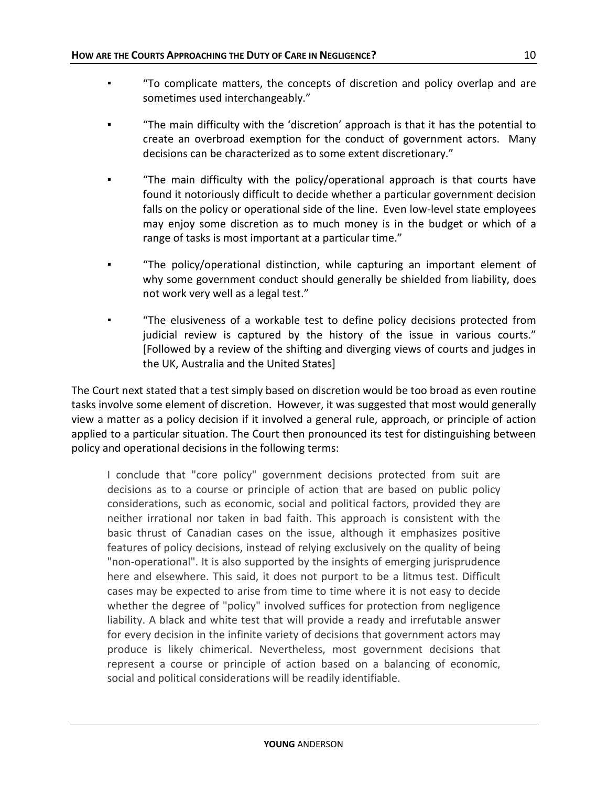- "To complicate matters, the concepts of discretion and policy overlap and are sometimes used interchangeably."
- "The main difficulty with the 'discretion' approach is that it has the potential to create an overbroad exemption for the conduct of government actors. Many decisions can be characterized as to some extent discretionary."
- "The main difficulty with the policy/operational approach is that courts have found it notoriously difficult to decide whether a particular government decision falls on the policy or operational side of the line. Even low-level state employees may enjoy some discretion as to much money is in the budget or which of a range of tasks is most important at a particular time."
- "The policy/operational distinction, while capturing an important element of why some government conduct should generally be shielded from liability, does not work very well as a legal test."
- "The elusiveness of a workable test to define policy decisions protected from judicial review is captured by the history of the issue in various courts." [Followed by a review of the shifting and diverging views of courts and judges in the UK, Australia and the United States]

The Court next stated that a test simply based on discretion would be too broad as even routine tasks involve some element of discretion. However, it was suggested that most would generally view a matter as a policy decision if it involved a general rule, approach, or principle of action applied to a particular situation. The Court then pronounced its test for distinguishing between policy and operational decisions in the following terms:

I conclude that "core policy" government decisions protected from suit are decisions as to a course or principle of action that are based on public policy considerations, such as economic, social and political factors, provided they are neither irrational nor taken in bad faith. This approach is consistent with the basic thrust of Canadian cases on the issue, although it emphasizes positive features of policy decisions, instead of relying exclusively on the quality of being "non-operational". It is also supported by the insights of emerging jurisprudence here and elsewhere. This said, it does not purport to be a litmus test. Difficult cases may be expected to arise from time to time where it is not easy to decide whether the degree of "policy" involved suffices for protection from negligence liability. A black and white test that will provide a ready and irrefutable answer for every decision in the infinite variety of decisions that government actors may produce is likely chimerical. Nevertheless, most government decisions that represent a course or principle of action based on a balancing of economic, social and political considerations will be readily identifiable.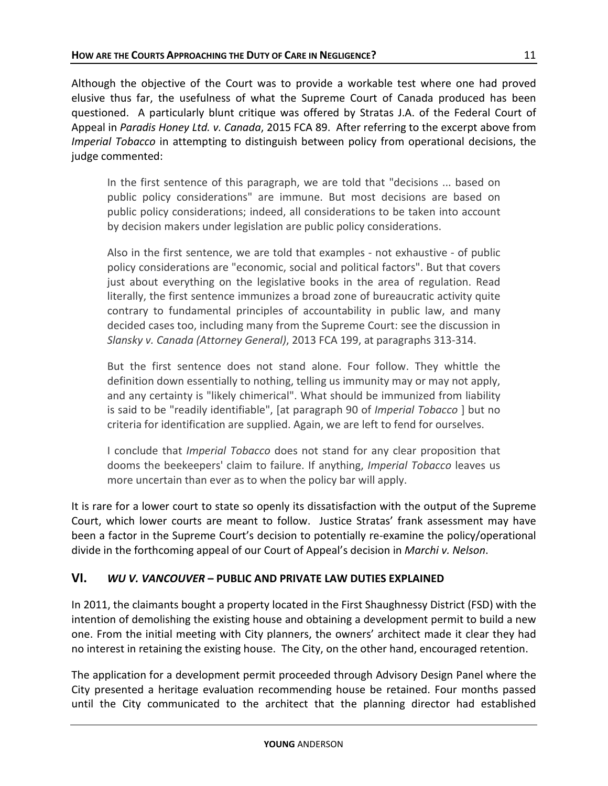Although the objective of the Court was to provide a workable test where one had proved elusive thus far, the usefulness of what the Supreme Court of Canada produced has been questioned. A particularly blunt critique was offered by Stratas J.A. of the Federal Court of Appeal in *Paradis Honey Ltd. v. Canada*, 2015 FCA 89. After referring to the excerpt above from *Imperial Tobacco* in attempting to distinguish between policy from operational decisions, the judge commented:

In the first sentence of this paragraph, we are told that "decisions ... based on public policy considerations" are immune. But most decisions are based on public policy considerations; indeed, all considerations to be taken into account by decision makers under legislation are public policy considerations.

Also in the first sentence, we are told that examples - not exhaustive - of public policy considerations are "economic, social and political factors". But that covers just about everything on the legislative books in the area of regulation. Read literally, the first sentence immunizes a broad zone of bureaucratic activity quite contrary to fundamental principles of accountability in public law, and many decided cases too, including many from the Supreme Court: see the discussion in *Slansky v. Canada (Attorney General)*, 2013 FCA 199, at paragraphs 313-314.

But the first sentence does not stand alone. Four follow. They whittle the definition down essentially to nothing, telling us immunity may or may not apply, and any certainty is "likely chimerical". What should be immunized from liability is said to be "readily identifiable", [at paragraph 90 of *Imperial Tobacco* ] but no criteria for identification are supplied. Again, we are left to fend for ourselves.

I conclude that *Imperial Tobacco* does not stand for any clear proposition that dooms the beekeepers' claim to failure. If anything, *Imperial Tobacco* leaves us more uncertain than ever as to when the policy bar will apply.

It is rare for a lower court to state so openly its dissatisfaction with the output of the Supreme Court, which lower courts are meant to follow. Justice Stratas' frank assessment may have been a factor in the Supreme Court's decision to potentially re-examine the policy/operational divide in the forthcoming appeal of our Court of Appeal's decision in *Marchi v. Nelson*.

## **VI.** *WU V. VANCOUVER* **– PUBLIC AND PRIVATE LAW DUTIES EXPLAINED**

In 2011, the claimants bought a property located in the First Shaughnessy District (FSD) with the intention of demolishing the existing house and obtaining a development permit to build a new one. From the initial meeting with City planners, the owners' architect made it clear they had no interest in retaining the existing house. The City, on the other hand, encouraged retention.

The application for a development permit proceeded through Advisory Design Panel where the City presented a heritage evaluation recommending house be retained. Four months passed until the City communicated to the architect that the planning director had established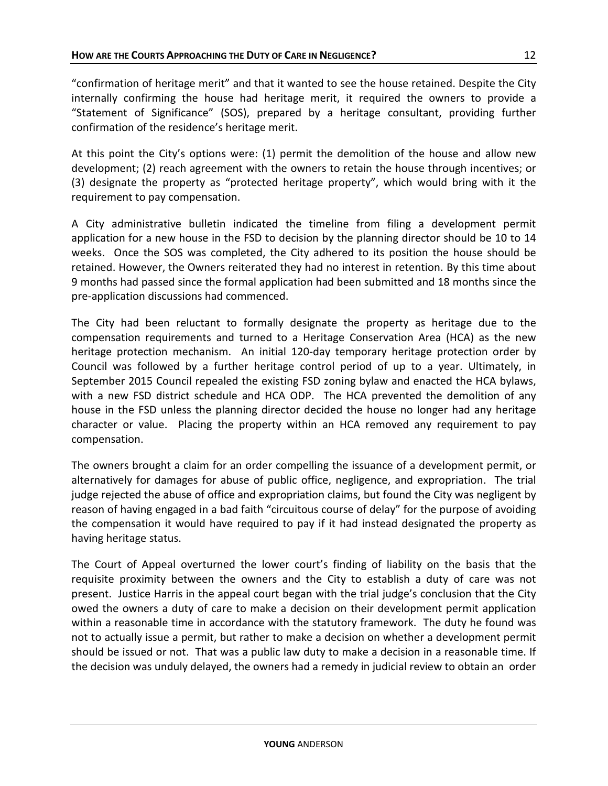"confirmation of heritage merit" and that it wanted to see the house retained. Despite the City internally confirming the house had heritage merit, it required the owners to provide a "Statement of Significance" (SOS), prepared by a heritage consultant, providing further confirmation of the residence's heritage merit.

At this point the City's options were: (1) permit the demolition of the house and allow new development; (2) reach agreement with the owners to retain the house through incentives; or (3) designate the property as "protected heritage property", which would bring with it the requirement to pay compensation.

A City administrative bulletin indicated the timeline from filing a development permit application for a new house in the FSD to decision by the planning director should be 10 to 14 weeks. Once the SOS was completed, the City adhered to its position the house should be retained. However, the Owners reiterated they had no interest in retention. By this time about 9 months had passed since the formal application had been submitted and 18 months since the pre-application discussions had commenced.

The City had been reluctant to formally designate the property as heritage due to the compensation requirements and turned to a Heritage Conservation Area (HCA) as the new heritage protection mechanism. An initial 120-day temporary heritage protection order by Council was followed by a further heritage control period of up to a year. Ultimately, in September 2015 Council repealed the existing FSD zoning bylaw and enacted the HCA bylaws, with a new FSD district schedule and HCA ODP. The HCA prevented the demolition of any house in the FSD unless the planning director decided the house no longer had any heritage character or value. Placing the property within an HCA removed any requirement to pay compensation.

The owners brought a claim for an order compelling the issuance of a development permit, or alternatively for damages for abuse of public office, negligence, and expropriation. The trial judge rejected the abuse of office and expropriation claims, but found the City was negligent by reason of having engaged in a bad faith "circuitous course of delay" for the purpose of avoiding the compensation it would have required to pay if it had instead designated the property as having heritage status.

The Court of Appeal overturned the lower court's finding of liability on the basis that the requisite proximity between the owners and the City to establish a duty of care was not present. Justice Harris in the appeal court began with the trial judge's conclusion that the City owed the owners a duty of care to make a decision on their development permit application within a reasonable time in accordance with the statutory framework. The duty he found was not to actually issue a permit, but rather to make a decision on whether a development permit should be issued or not. That was a public law duty to make a decision in a reasonable time. If the decision was unduly delayed, the owners had a remedy in judicial review to obtain an order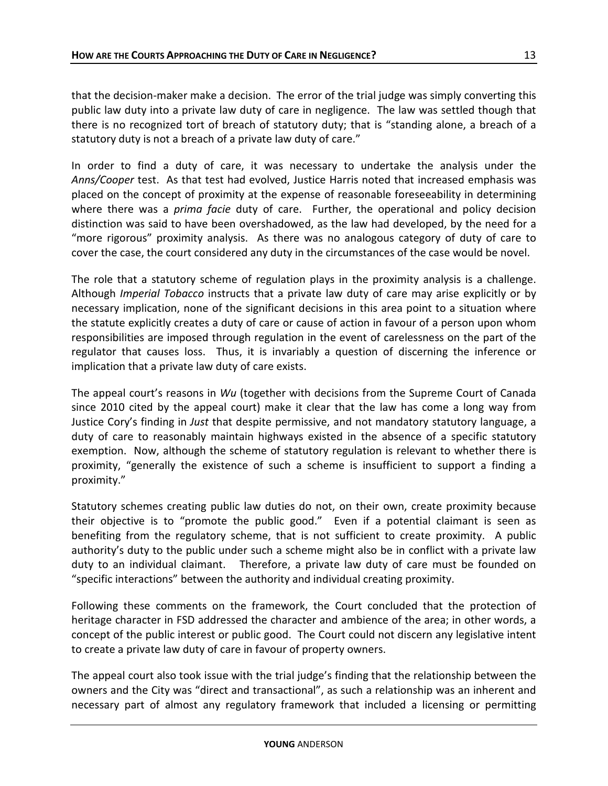that the decision-maker make a decision. The error of the trial judge was simply converting this public law duty into a private law duty of care in negligence. The law was settled though that there is no recognized tort of breach of statutory duty; that is "standing alone, a breach of a statutory duty is not a breach of a private law duty of care."

In order to find a duty of care, it was necessary to undertake the analysis under the *Anns/Cooper* test. As that test had evolved, Justice Harris noted that increased emphasis was placed on the concept of proximity at the expense of reasonable foreseeability in determining where there was a *prima facie* duty of care. Further, the operational and policy decision distinction was said to have been overshadowed, as the law had developed, by the need for a "more rigorous" proximity analysis. As there was no analogous category of duty of care to cover the case, the court considered any duty in the circumstances of the case would be novel.

The role that a statutory scheme of regulation plays in the proximity analysis is a challenge. Although *Imperial Tobacco* instructs that a private law duty of care may arise explicitly or by necessary implication, none of the significant decisions in this area point to a situation where the statute explicitly creates a duty of care or cause of action in favour of a person upon whom responsibilities are imposed through regulation in the event of carelessness on the part of the regulator that causes loss. Thus, it is invariably a question of discerning the inference or implication that a private law duty of care exists.

The appeal court's reasons in *Wu* (together with decisions from the Supreme Court of Canada since 2010 cited by the appeal court) make it clear that the law has come a long way from Justice Cory's finding in *Just* that despite permissive, and not mandatory statutory language, a duty of care to reasonably maintain highways existed in the absence of a specific statutory exemption. Now, although the scheme of statutory regulation is relevant to whether there is proximity, "generally the existence of such a scheme is insufficient to support a finding a proximity."

Statutory schemes creating public law duties do not, on their own, create proximity because their objective is to "promote the public good." Even if a potential claimant is seen as benefiting from the regulatory scheme, that is not sufficient to create proximity. A public authority's duty to the public under such a scheme might also be in conflict with a private law duty to an individual claimant. Therefore, a private law duty of care must be founded on "specific interactions" between the authority and individual creating proximity.

Following these comments on the framework, the Court concluded that the protection of heritage character in FSD addressed the character and ambience of the area; in other words, a concept of the public interest or public good. The Court could not discern any legislative intent to create a private law duty of care in favour of property owners.

The appeal court also took issue with the trial judge's finding that the relationship between the owners and the City was "direct and transactional", as such a relationship was an inherent and necessary part of almost any regulatory framework that included a licensing or permitting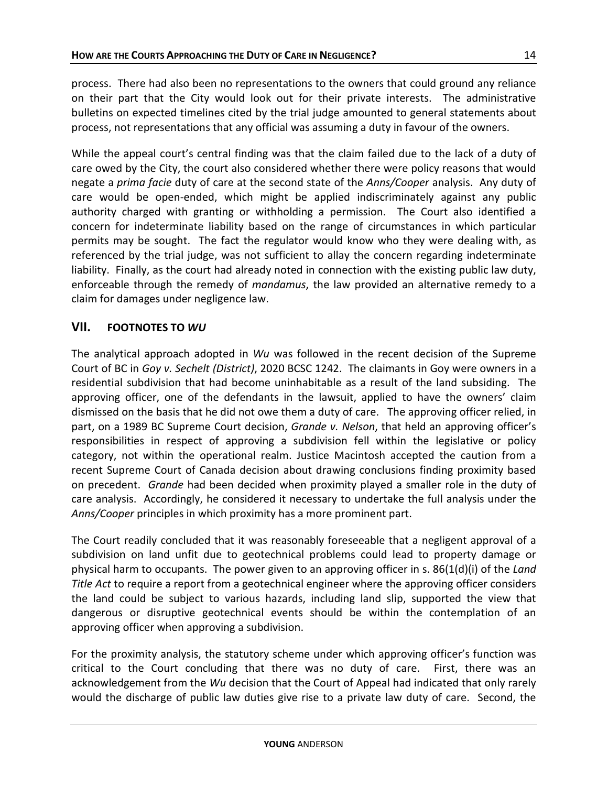14

process. There had also been no representations to the owners that could ground any reliance on their part that the City would look out for their private interests. The administrative bulletins on expected timelines cited by the trial judge amounted to general statements about process, not representations that any official was assuming a duty in favour of the owners.

While the appeal court's central finding was that the claim failed due to the lack of a duty of care owed by the City, the court also considered whether there were policy reasons that would negate a *prima facie* duty of care at the second state of the *Anns/Cooper* analysis. Any duty of care would be open-ended, which might be applied indiscriminately against any public authority charged with granting or withholding a permission. The Court also identified a concern for indeterminate liability based on the range of circumstances in which particular permits may be sought. The fact the regulator would know who they were dealing with, as referenced by the trial judge, was not sufficient to allay the concern regarding indeterminate liability. Finally, as the court had already noted in connection with the existing public law duty, enforceable through the remedy of *mandamus*, the law provided an alternative remedy to a claim for damages under negligence law.

## **VII. FOOTNOTES TO** *WU*

The analytical approach adopted in *Wu* was followed in the recent decision of the Supreme Court of BC in *Goy v. Sechelt (District)*, 2020 BCSC 1242. The claimants in Goy were owners in a residential subdivision that had become uninhabitable as a result of the land subsiding. The approving officer, one of the defendants in the lawsuit, applied to have the owners' claim dismissed on the basis that he did not owe them a duty of care. The approving officer relied, in part, on a 1989 BC Supreme Court decision, *Grande v. Nelson*, that held an approving officer's responsibilities in respect of approving a subdivision fell within the legislative or policy category, not within the operational realm. Justice Macintosh accepted the caution from a recent Supreme Court of Canada decision about drawing conclusions finding proximity based on precedent. *Grande* had been decided when proximity played a smaller role in the duty of care analysis. Accordingly, he considered it necessary to undertake the full analysis under the *Anns/Cooper* principles in which proximity has a more prominent part.

The Court readily concluded that it was reasonably foreseeable that a negligent approval of a subdivision on land unfit due to geotechnical problems could lead to property damage or physical harm to occupants. The power given to an approving officer in s. 86(1(d)(i) of the *Land Title Act* to require a report from a geotechnical engineer where the approving officer considers the land could be subject to various hazards, including land slip, supported the view that dangerous or disruptive geotechnical events should be within the contemplation of an approving officer when approving a subdivision.

For the proximity analysis, the statutory scheme under which approving officer's function was critical to the Court concluding that there was no duty of care. First, there was an acknowledgement from the *Wu* decision that the Court of Appeal had indicated that only rarely would the discharge of public law duties give rise to a private law duty of care. Second, the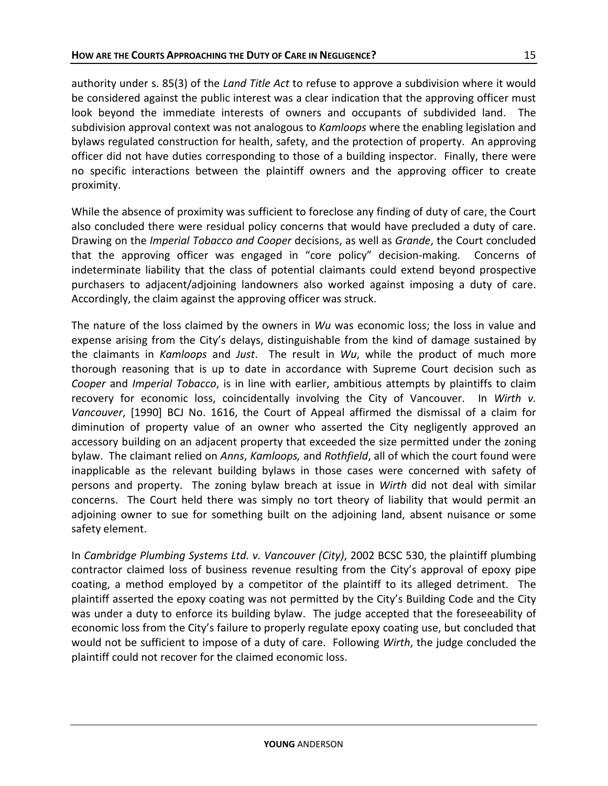authority under s. 85(3) of the *Land Title Act* to refuse to approve a subdivision where it would be considered against the public interest was a clear indication that the approving officer must look beyond the immediate interests of owners and occupants of subdivided land. The subdivision approval context was not analogous to *Kamloops* where the enabling legislation and bylaws regulated construction for health, safety, and the protection of property. An approving officer did not have duties corresponding to those of a building inspector. Finally, there were no specific interactions between the plaintiff owners and the approving officer to create proximity.

While the absence of proximity was sufficient to foreclose any finding of duty of care, the Court also concluded there were residual policy concerns that would have precluded a duty of care. Drawing on the *Imperial Tobacco and Cooper* decisions, as well as *Grande*, the Court concluded that the approving officer was engaged in "core policy" decision-making. Concerns of indeterminate liability that the class of potential claimants could extend beyond prospective purchasers to adjacent/adjoining landowners also worked against imposing a duty of care. Accordingly, the claim against the approving officer was struck.

The nature of the loss claimed by the owners in *Wu* was economic loss; the loss in value and expense arising from the City's delays, distinguishable from the kind of damage sustained by the claimants in *Kamloops* and *Just*. The result in *Wu*, while the product of much more thorough reasoning that is up to date in accordance with Supreme Court decision such as *Cooper* and *Imperial Tobacco*, is in line with earlier, ambitious attempts by plaintiffs to claim recovery for economic loss, coincidentally involving the City of Vancouver. In *Wirth v. Vancouver*, [1990] BCJ No. 1616, the Court of Appeal affirmed the dismissal of a claim for diminution of property value of an owner who asserted the City negligently approved an accessory building on an adjacent property that exceeded the size permitted under the zoning bylaw. The claimant relied on *Anns*, *Kamloops,* and *Rothfield*, all of which the court found were inapplicable as the relevant building bylaws in those cases were concerned with safety of persons and property. The zoning bylaw breach at issue in *Wirth* did not deal with similar concerns. The Court held there was simply no tort theory of liability that would permit an adjoining owner to sue for something built on the adjoining land, absent nuisance or some safety element.

In *Cambridge Plumbing Systems Ltd. v. Vancouver (City)*, 2002 BCSC 530, the plaintiff plumbing contractor claimed loss of business revenue resulting from the City's approval of epoxy pipe coating, a method employed by a competitor of the plaintiff to its alleged detriment. The plaintiff asserted the epoxy coating was not permitted by the City's Building Code and the City was under a duty to enforce its building bylaw. The judge accepted that the foreseeability of economic loss from the City's failure to properly regulate epoxy coating use, but concluded that would not be sufficient to impose of a duty of care. Following *Wirth*, the judge concluded the plaintiff could not recover for the claimed economic loss.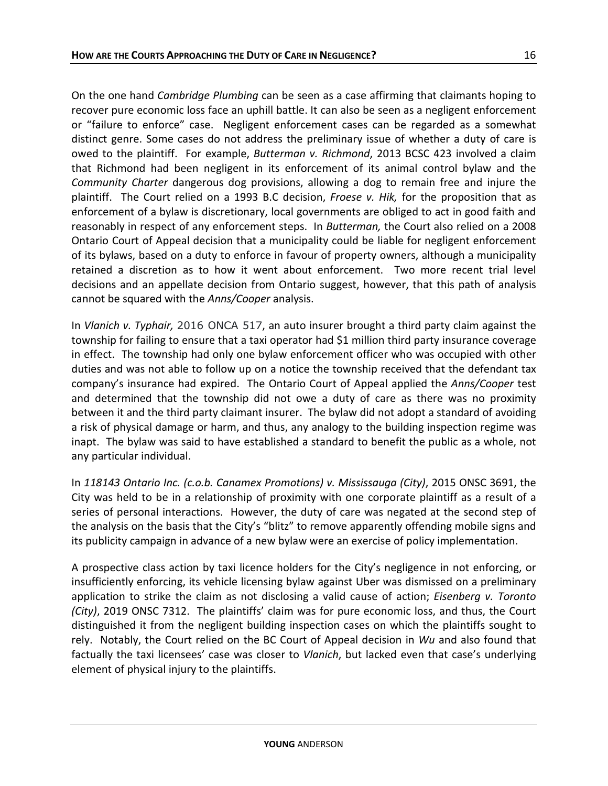On the one hand *Cambridge Plumbing* can be seen as a case affirming that claimants hoping to recover pure economic loss face an uphill battle. It can also be seen as a negligent enforcement or "failure to enforce" case. Negligent enforcement cases can be regarded as a somewhat distinct genre. Some cases do not address the preliminary issue of whether a duty of care is owed to the plaintiff. For example, *Butterman v. Richmond*, 2013 BCSC 423 involved a claim that Richmond had been negligent in its enforcement of its animal control bylaw and the *Community Charter* dangerous dog provisions, allowing a dog to remain free and injure the plaintiff. The Court relied on a 1993 B.C decision, *Froese v. Hik,* for the proposition that as enforcement of a bylaw is discretionary, local governments are obliged to act in good faith and reasonably in respect of any enforcement steps. In *Butterman,* the Court also relied on a 2008 Ontario Court of Appeal decision that a municipality could be liable for negligent enforcement of its bylaws, based on a duty to enforce in favour of property owners, although a municipality retained a discretion as to how it went about enforcement. Two more recent trial level decisions and an appellate decision from Ontario suggest, however, that this path of analysis cannot be squared with the *Anns/Cooper* analysis.

In *Vlanich v. Typhair,* 2016 ONCA 517, an auto insurer brought a third party claim against the township for failing to ensure that a taxi operator had \$1 million third party insurance coverage in effect. The township had only one bylaw enforcement officer who was occupied with other duties and was not able to follow up on a notice the township received that the defendant tax company's insurance had expired. The Ontario Court of Appeal applied the *Anns/Cooper* test and determined that the township did not owe a duty of care as there was no proximity between it and the third party claimant insurer. The bylaw did not adopt a standard of avoiding a risk of physical damage or harm, and thus, any analogy to the building inspection regime was inapt. The bylaw was said to have established a standard to benefit the public as a whole, not any particular individual.

In *118143 Ontario Inc. (c.o.b. Canamex Promotions) v. Mississauga (City)*, 2015 ONSC 3691, the City was held to be in a relationship of proximity with one corporate plaintiff as a result of a series of personal interactions. However, the duty of care was negated at the second step of the analysis on the basis that the City's "blitz" to remove apparently offending mobile signs and its publicity campaign in advance of a new bylaw were an exercise of policy implementation.

A prospective class action by taxi licence holders for the City's negligence in not enforcing, or insufficiently enforcing, its vehicle licensing bylaw against Uber was dismissed on a preliminary application to strike the claim as not disclosing a valid cause of action; *Eisenberg v. Toronto (City)*, 2019 ONSC 7312. The plaintiffs' claim was for pure economic loss, and thus, the Court distinguished it from the negligent building inspection cases on which the plaintiffs sought to rely. Notably, the Court relied on the BC Court of Appeal decision in *Wu* and also found that factually the taxi licensees' case was closer to *Vlanich*, but lacked even that case's underlying element of physical injury to the plaintiffs.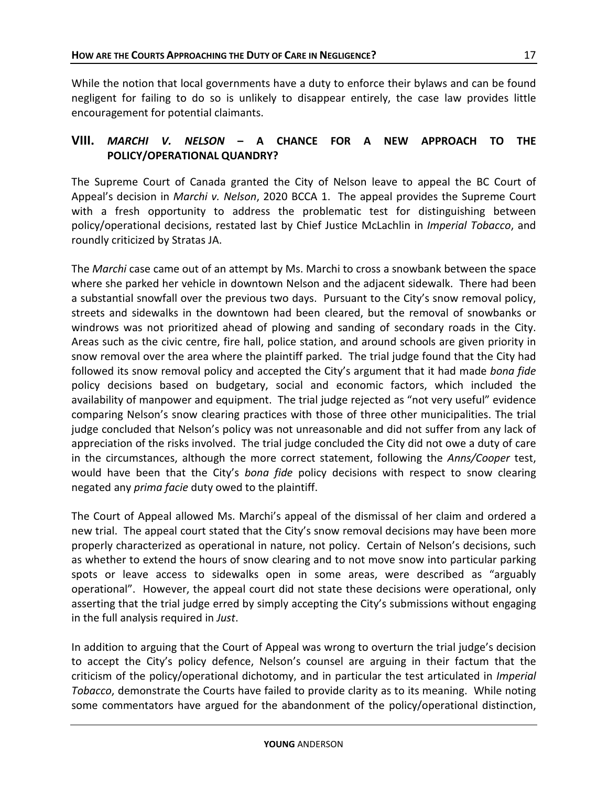encouragement for potential claimants.

While the notion that local governments have a duty to enforce their bylaws and can be found negligent for failing to do so is unlikely to disappear entirely, the case law provides little

## **VIII.** *MARCHI V. NELSON* **– A CHANCE FOR A NEW APPROACH TO THE POLICY/OPERATIONAL QUANDRY?**

The Supreme Court of Canada granted the City of Nelson leave to appeal the BC Court of Appeal's decision in *Marchi v. Nelson*, 2020 BCCA 1. The appeal provides the Supreme Court with a fresh opportunity to address the problematic test for distinguishing between policy/operational decisions, restated last by Chief Justice McLachlin in *Imperial Tobacco*, and roundly criticized by Stratas JA.

The *Marchi* case came out of an attempt by Ms. Marchi to cross a snowbank between the space where she parked her vehicle in downtown Nelson and the adjacent sidewalk. There had been a substantial snowfall over the previous two days. Pursuant to the City's snow removal policy, streets and sidewalks in the downtown had been cleared, but the removal of snowbanks or windrows was not prioritized ahead of plowing and sanding of secondary roads in the City. Areas such as the civic centre, fire hall, police station, and around schools are given priority in snow removal over the area where the plaintiff parked. The trial judge found that the City had followed its snow removal policy and accepted the City's argument that it had made *bona fide*  policy decisions based on budgetary, social and economic factors, which included the availability of manpower and equipment. The trial judge rejected as "not very useful" evidence comparing Nelson's snow clearing practices with those of three other municipalities. The trial judge concluded that Nelson's policy was not unreasonable and did not suffer from any lack of appreciation of the risks involved. The trial judge concluded the City did not owe a duty of care in the circumstances, although the more correct statement, following the *Anns/Cooper* test, would have been that the City's *bona fide* policy decisions with respect to snow clearing negated any *prima facie* duty owed to the plaintiff.

The Court of Appeal allowed Ms. Marchi's appeal of the dismissal of her claim and ordered a new trial. The appeal court stated that the City's snow removal decisions may have been more properly characterized as operational in nature, not policy. Certain of Nelson's decisions, such as whether to extend the hours of snow clearing and to not move snow into particular parking spots or leave access to sidewalks open in some areas, were described as "arguably operational". However, the appeal court did not state these decisions were operational, only asserting that the trial judge erred by simply accepting the City's submissions without engaging in the full analysis required in *Just*.

In addition to arguing that the Court of Appeal was wrong to overturn the trial judge's decision to accept the City's policy defence, Nelson's counsel are arguing in their factum that the criticism of the policy/operational dichotomy, and in particular the test articulated in *Imperial Tobacco*, demonstrate the Courts have failed to provide clarity as to its meaning. While noting some commentators have argued for the abandonment of the policy/operational distinction,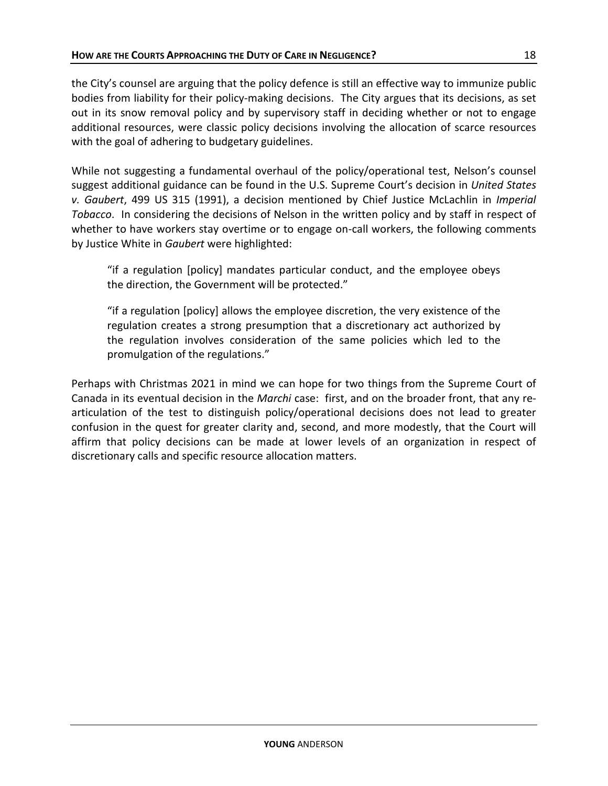the City's counsel are arguing that the policy defence is still an effective way to immunize public bodies from liability for their policy-making decisions. The City argues that its decisions, as set out in its snow removal policy and by supervisory staff in deciding whether or not to engage additional resources, were classic policy decisions involving the allocation of scarce resources with the goal of adhering to budgetary guidelines.

While not suggesting a fundamental overhaul of the policy/operational test, Nelson's counsel suggest additional guidance can be found in the U.S. Supreme Court's decision in *United States v. Gaubert*, 499 US 315 (1991), a decision mentioned by Chief Justice McLachlin in *Imperial Tobacco*. In considering the decisions of Nelson in the written policy and by staff in respect of whether to have workers stay overtime or to engage on-call workers, the following comments by Justice White in *Gaubert* were highlighted:

"if a regulation [policy] mandates particular conduct, and the employee obeys the direction, the Government will be protected."

"if a regulation [policy] allows the employee discretion, the very existence of the regulation creates a strong presumption that a discretionary act authorized by the regulation involves consideration of the same policies which led to the promulgation of the regulations."

Perhaps with Christmas 2021 in mind we can hope for two things from the Supreme Court of Canada in its eventual decision in the *Marchi* case: first, and on the broader front, that any rearticulation of the test to distinguish policy/operational decisions does not lead to greater confusion in the quest for greater clarity and, second, and more modestly, that the Court will affirm that policy decisions can be made at lower levels of an organization in respect of discretionary calls and specific resource allocation matters.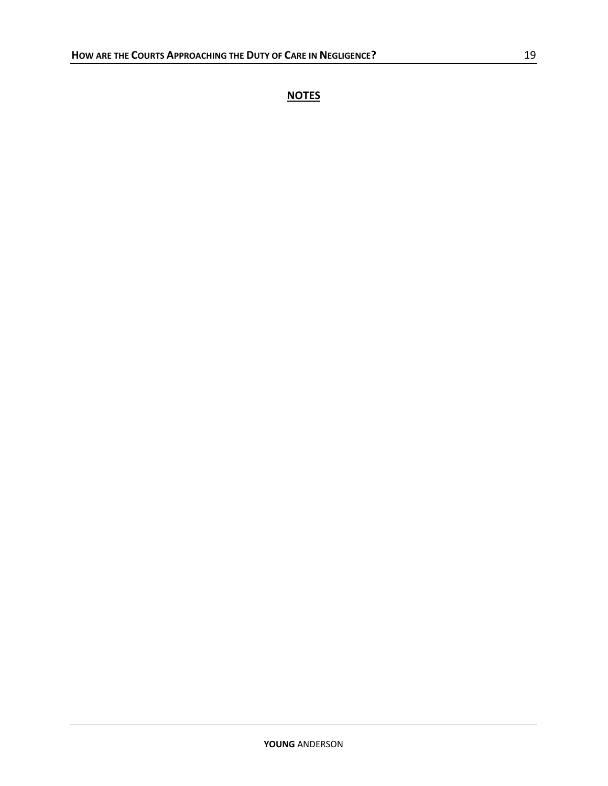**NOTES**